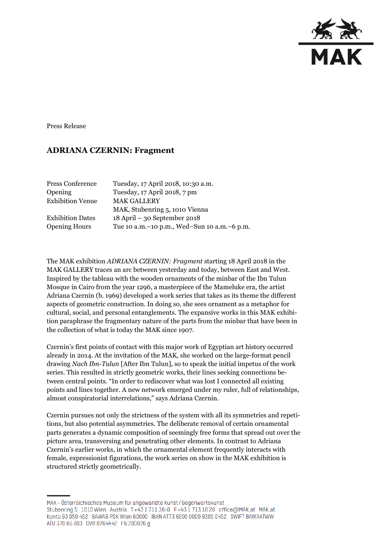

Press Release

## **ADRIANA CZERNIN: Fragment**

| Press Conference        | Tuesday, 17 April 2018, 10:30 a.m.              |
|-------------------------|-------------------------------------------------|
| Opening                 | Tuesday, 17 April 2018, 7 pm                    |
| <b>Exhibition Venue</b> | <b>MAK GALLERY</b>                              |
|                         | MAK, Stubenring 5, 1010 Vienna                  |
| <b>Exhibition Dates</b> | $18$ April – 30 September 2018                  |
| <b>Opening Hours</b>    | Tue 10 a.m. - 10 p.m., Wed-Sun 10 a.m. - 6 p.m. |

The MAK exhibition *ADRIANA CZERNIN: Fragment* starting 18 April 2018 in the MAK GALLERY traces an arc between yesterday and today, between East and West. Inspired by the tableau with the wooden ornaments of the minbar of the Ibn Tulun Mosque in Cairo from the year 1296, a masterpiece of the Mameluke era, the artist Adriana Czernin (b. 1969) developed a work series that takes as its theme the different aspects of geometric construction. In doing so, she sees ornament as a metaphor for cultural, social, and personal entanglements. The expansive works in this MAK exhibition paraphrase the fragmentary nature of the parts from the minbar that have been in the collection of what is today the MAK since 1907.

Czernin's first points of contact with this major work of Egyptian art history occurred already in 2014. At the invitation of the MAK, she worked on the large-format pencil drawing *Nach Ibn-Tulun* [After Ibn Tulun], so to speak the initial impetus of the work series. This resulted in strictly geometric works, their lines seeking connections between central points. "In order to rediscover what was lost I connected all existing points and lines together. A new network emerged under my ruler, full of relationships, almost conspiratorial interrelations," says Adriana Czernin.

Czernin pursues not only the strictness of the system with all its symmetries and repetitions, but also potential asymmetries. The deliberate removal of certain ornamental parts generates a dynamic composition of seemingly free forms that spread out over the picture area, transversing and penetrating other elements. In contrast to Adriana Czernin's earlier works, in which the ornamental element frequently interacts with female, expressionist figurations, the work series on show in the MAK exhibition is structured strictly geometrically.

MAK – Österreichisches Museum für angewandte Kunst/Gegenwartskunst Stubenring 5 1010 Wien Austria T+43 1711 36-0 F+43 1713 10 26 office@MAK.at MAK.at Konto 93 050 452 BAWAG PSK Wien 60000 IBAN AT73 6000 0000 9305 0452 SWIFT BAWAATWW ATU 370 65 803 DVR 0764442 FN 200026 g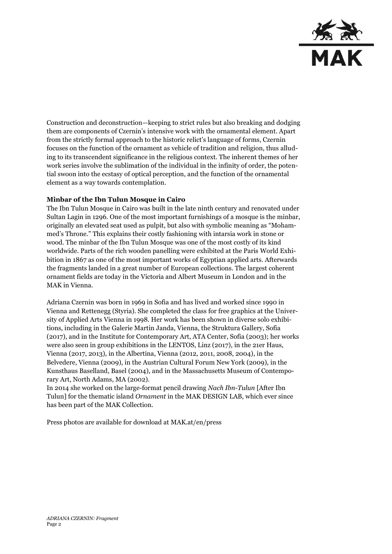

Construction and deconstruction—keeping to strict rules but also breaking and dodging them are components of Czernin's intensive work with the ornamental element. Apart from the strictly formal approach to the historic relict's language of forms, Czernin focuses on the function of the ornament as vehicle of tradition and religion, thus alluding to its transcendent significance in the religious context. The inherent themes of her work series involve the sublimation of the individual in the infinity of order, the potential swoon into the ecstasy of optical perception, and the function of the ornamental element as a way towards contemplation.

## **Minbar of the Ibn Tulun Mosque in Cairo**

The Ibn Tulun Mosque in Cairo was built in the late ninth century and renovated under Sultan Lagin in 1296. One of the most important furnishings of a mosque is the minbar, originally an elevated seat used as pulpit, but also with symbolic meaning as "Mohammed's Throne." This explains their costly fashioning with intarsia work in stone or wood. The minbar of the Ibn Tulun Mosque was one of the most costly of its kind worldwide. Parts of the rich wooden panelling were exhibited at the Paris World Exhibition in 1867 as one of the most important works of Egyptian applied arts. Afterwards the fragments landed in a great number of European collections. The largest coherent ornament fields are today in the Victoria and Albert Museum in London and in the MAK in Vienna.

Adriana Czernin was born in 1969 in Sofia and has lived and worked since 1990 in Vienna and Rettenegg (Styria). She completed the class for free graphics at the University of Applied Arts Vienna in 1998. Her work has been shown in diverse solo exhibitions, including in the Galerie Martin Janda, Vienna, the Struktura Gallery, Sofia (2017), and in the Institute for Contemporary Art, ATA Center, Sofia (2003); her works were also seen in group exhibitions in the LENTOS, Linz (2017), in the 21er Haus, Vienna (2017, 2013), in the Albertina, Vienna (2012, 2011, 2008, 2004), in the Belvedere, Vienna (2009), in the Austrian Cultural Forum New York (2009), in the Kunsthaus Baselland, Basel (2004), and in the Massachusetts Museum of Contemporary Art, North Adams, MA (2002).

In 2014 she worked on the large-format pencil drawing *Nach Ibn-Tulun* [After Ibn Tulun] for the thematic island *Ornament* in the MAK DESIGN LAB, which ever since has been part of the MAK Collection.

Press photos are available for download at MAK.at/en/press